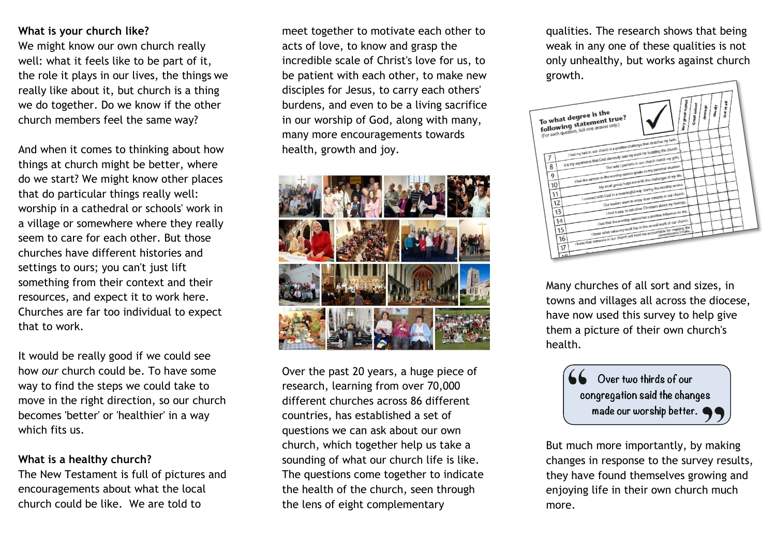## **What is your church like?**

We might know our own church really well: what it feels like to be part of it, the role it plays in our lives, the things we really like about it, but church is a thing we do together. Do we know if the other church members feel the same way?

And when it comes to thinking about how things at church might be better, where do we start? We might know other places that do particular things really well: worship in a cathedral or schools' work in a village or somewhere where they really seem to care for each other. But those churches have different histories and settings to ours; you can't just lift something from their context and their resources, and expect it to work here. Churches are far too individual to expect that to work.

It would be really good if we could see how *our* church could be. To have some way to find the steps we could take to move in the right direction, so our church becomes 'better' or 'healthier' in a way which fits us.

#### **What is a healthy church?**

The New Testament is full of pictures and encouragements about what the local church could be like. We are told to

meet together to motivate each other to acts of love, to know and grasp the incredible scale of Christ's love for us, to be patient with each other, to make new disciples for Jesus, to carry each others' burdens, and even to be a living sacrifice in our worship of God, along with many, many more encouragements towards health, growth and joy.



Over the past 20 years, a huge piece of research, learning from over 70,000 different churches across 86 different countries, has established a set of questions we can ask about our own church, which together help us take a sounding of what our church life is like. The questions come together to indicate the health of the church, seen through the lens of eight complementary

qualities. The research shows that being weak in any one of these qualities is not only unhealthy, but works against church growth.



Many churches of all sort and sizes, in towns and villages all across the diocese, have now used this survey to help give them a picture of their own church's health.



But much more importantly, by making changes in response to the survey results, they have found themselves growing and enjoying life in their own church much more.